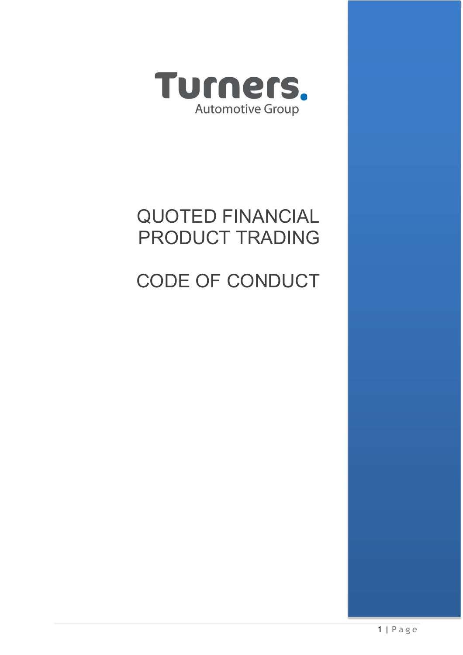

# QUOTED FINANCIAL PRODUCT TRADING

# CODE OF CONDUCT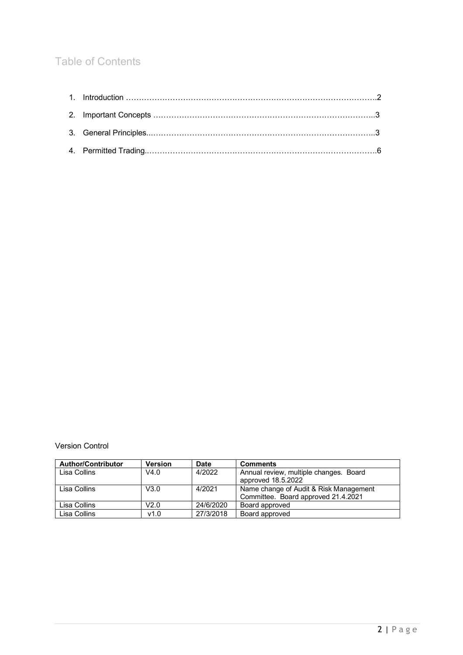# Table of Contents

Version Control

| <b>Author/Contributor</b> | <b>Version</b> | Date      | <b>Comments</b>                        |
|---------------------------|----------------|-----------|----------------------------------------|
| Lisa Collins              | V4.0           | 4/2022    | Annual review, multiple changes. Board |
|                           |                |           | approved 18.5.2022                     |
| Lisa Collins              | V3.0           | 4/2021    | Name change of Audit & Risk Management |
|                           |                |           | Committee. Board approved 21.4.2021    |
| Lisa Collins              | V2.0           | 24/6/2020 | Board approved                         |
| Lisa Collins              | v1.0           | 27/3/2018 | Board approved                         |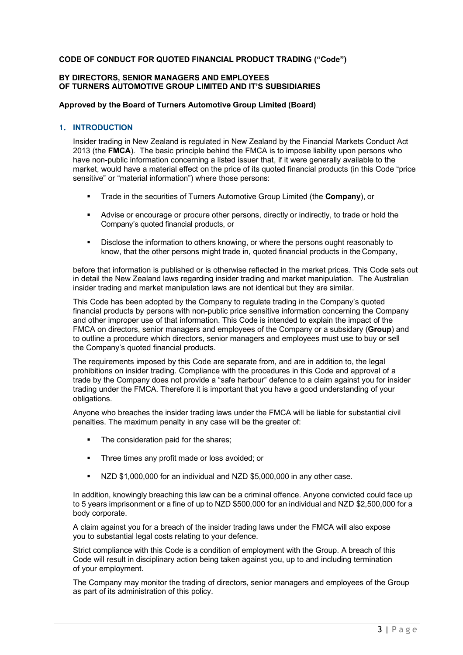# **CODE OF CONDUCT FOR QUOTED FINANCIAL PRODUCT TRADING ("Code")**

# **BY DIRECTORS, SENIOR MANAGERS AND EMPLOYEES OF TURNERS AUTOMOTIVE GROUP LIMITED AND IT'S SUBSIDIARIES**

# **Approved by the Board of Turners Automotive Group Limited (Board)**

# **1. INTRODUCTION**

Insider trading in New Zealand is regulated in New Zealand by the Financial Markets Conduct Act 2013 (the **FMCA**). The basic principle behind the FMCA is to impose liability upon persons who have non-public information concerning a listed issuer that, if it were generally available to the market, would have a material effect on the price of its quoted financial products (in this Code "price sensitive" or "material information") where those persons:

- § Trade in the securities of Turners Automotive Group Limited (the **Company**), or
- § Advise or encourage or procure other persons, directly or indirectly, to trade or hold the Company's quoted financial products, or
- § Disclose the information to others knowing, or where the persons ought reasonably to know, that the other persons might trade in, quoted financial products in the Company,

before that information is published or is otherwise reflected in the market prices. This Code sets out in detail the New Zealand laws regarding insider trading and market manipulation. The Australian insider trading and market manipulation laws are not identical but they are similar.

This Code has been adopted by the Company to regulate trading in the Company's quoted financial products by persons with non-public price sensitive information concerning the Company and other improper use of that information. This Code is intended to explain the impact of the FMCA on directors, senior managers and employees of the Company or a subsidary (**Group**) and to outline a procedure which directors, senior managers and employees must use to buy or sell the Company's quoted financial products.

The requirements imposed by this Code are separate from, and are in addition to, the legal prohibitions on insider trading. Compliance with the procedures in this Code and approval of a trade by the Company does not provide a "safe harbour" defence to a claim against you for insider trading under the FMCA. Therefore it is important that you have a good understanding of your obligations.

Anyone who breaches the insider trading laws under the FMCA will be liable for substantial civil penalties. The maximum penalty in any case will be the greater of:

- The consideration paid for the shares;
- Three times any profit made or loss avoided; or
- NZD \$1,000,000 for an individual and NZD \$5,000,000 in any other case.

In addition, knowingly breaching this law can be a criminal offence. Anyone convicted could face up to 5 years imprisonment or a fine of up to NZD \$500,000 for an individual and NZD \$2,500,000 for a body corporate.

A claim against you for a breach of the insider trading laws under the FMCA will also expose you to substantial legal costs relating to your defence.

Strict compliance with this Code is a condition of employment with the Group. A breach of this Code will result in disciplinary action being taken against you, up to and including termination of your employment.

The Company may monitor the trading of directors, senior managers and employees of the Group as part of its administration of this policy.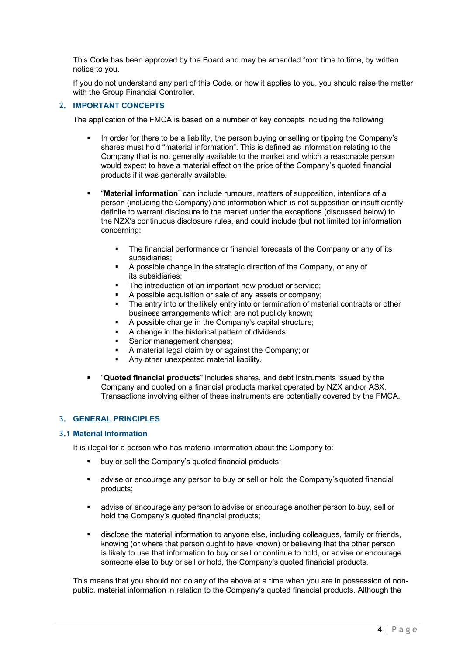This Code has been approved by the Board and may be amended from time to time, by written notice to you.

If you do not understand any part of this Code, or how it applies to you, you should raise the matter with the Group Financial Controller.

#### **2. IMPORTANT CONCEPTS**

The application of the FMCA is based on a number of key concepts including the following:

- In order for there to be a liability, the person buying or selling or tipping the Company's shares must hold "material information". This is defined as information relating to the Company that is not generally available to the market and which a reasonable person would expect to have a material effect on the price of the Company's quoted financial products if it was generally available.
- § "**Material information**" can include rumours, matters of supposition, intentions of a person (including the Company) and information which is not supposition or insufficiently definite to warrant disclosure to the market under the exceptions (discussed below) to the NZX's continuous disclosure rules, and could include (but not limited to) information concerning:
	- The financial performance or financial forecasts of the Company or any of its subsidiaries;
	- § A possible change in the strategic direction of the Company, or any of its subsidiaries;
	- The introduction of an important new product or service;
	- A possible acquisition or sale of any assets or company:
	- The entry into or the likely entry into or termination of material contracts or other business arrangements which are not publicly known;
	- § A possible change in the Company's capital structure;
	- A change in the historical pattern of dividends;
	- Senior management changes:
	- § A material legal claim by or against the Company; or
	- Any other unexpected material liability.
- § "**Quoted financial products**" includes shares, and debt instruments issued by the Company and quoted on a financial products market operated by NZX and/or ASX. Transactions involving either of these instruments are potentially covered by the FMCA.

# **3. GENERAL PRINCIPLES**

#### **3.1 Material Information**

It is illegal for a person who has material information about the Company to:

- buy or sell the Company's quoted financial products;
- advise or encourage any person to buy or sell or hold the Company's quoted financial products;
- advise or encourage any person to advise or encourage another person to buy, sell or hold the Company's quoted financial products;
- **•** disclose the material information to anyone else, including colleagues, family or friends, knowing (or where that person ought to have known) or believing that the other person is likely to use that information to buy or sell or continue to hold, or advise or encourage someone else to buy or sell or hold, the Company's quoted financial products.

This means that you should not do any of the above at a time when you are in possession of nonpublic, material information in relation to the Company's quoted financial products. Although the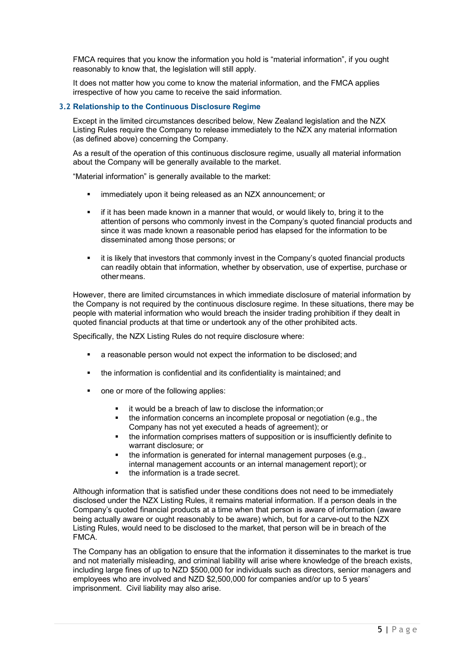FMCA requires that you know the information you hold is "material information", if you ought reasonably to know that, the legislation will still apply.

It does not matter how you come to know the material information, and the FMCA applies irrespective of how you came to receive the said information.

#### **3.2 Relationship to the Continuous Disclosure Regime**

Except in the limited circumstances described below, New Zealand legislation and the NZX Listing Rules require the Company to release immediately to the NZX any material information (as defined above) concerning the Company.

As a result of the operation of this continuous disclosure regime, usually all material information about the Company will be generally available to the market.

"Material information" is generally available to the market:

- immediately upon it being released as an NZX announcement; or
- if it has been made known in a manner that would, or would likely to, bring it to the attention of persons who commonly invest in the Company's quoted financial products and since it was made known a reasonable period has elapsed for the information to be disseminated among those persons; or
- it is likely that investors that commonly invest in the Company's quoted financial products can readily obtain that information, whether by observation, use of expertise, purchase or other means.

However, there are limited circumstances in which immediate disclosure of material information by the Company is not required by the continuous disclosure regime. In these situations, there may be people with material information who would breach the insider trading prohibition if they dealt in quoted financial products at that time or undertook any of the other prohibited acts.

Specifically, the NZX Listing Rules do not require disclosure where:

- a reasonable person would not expect the information to be disclosed; and
- the information is confidential and its confidentiality is maintained; and
- § one or more of the following applies:
	- § it would be a breach of law to disclose the information;or
	- the information concerns an incomplete proposal or negotiation (e.g., the Company has not yet executed a heads of agreement); or
	- § the information comprises matters of supposition or is insufficiently definite to warrant disclosure; or
	- the information is generated for internal management purposes (e.g.,
	- internal management accounts or an internal management report); or
	- the information is a trade secret.

Although information that is satisfied under these conditions does not need to be immediately disclosed under the NZX Listing Rules, it remains material information. If a person deals in the Company's quoted financial products at a time when that person is aware of information (aware being actually aware or ought reasonably to be aware) which, but for a carve-out to the NZX Listing Rules, would need to be disclosed to the market, that person will be in breach of the FMCA.

The Company has an obligation to ensure that the information it disseminates to the market is true and not materially misleading, and criminal liability will arise where knowledge of the breach exists, including large fines of up to NZD \$500,000 for individuals such as directors, senior managers and employees who are involved and NZD \$2,500,000 for companies and/or up to 5 years' imprisonment. Civil liability may also arise.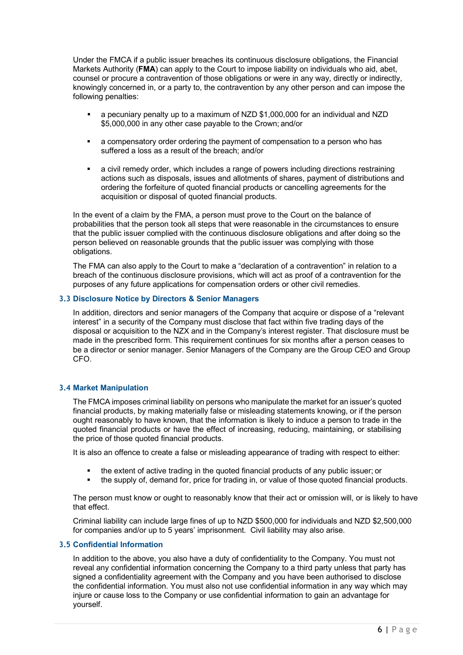Under the FMCA if a public issuer breaches its continuous disclosure obligations, the Financial Markets Authority (**FMA**) can apply to the Court to impose liability on individuals who aid, abet, counsel or procure a contravention of those obligations or were in any way, directly or indirectly, knowingly concerned in, or a party to, the contravention by any other person and can impose the following penalties:

- § a pecuniary penalty up to a maximum of NZD \$1,000,000 for an individual and NZD \$5,000,000 in any other case payable to the Crown; and/or
- § a compensatory order ordering the payment of compensation to a person who has suffered a loss as a result of the breach; and/or
- a civil remedy order, which includes a range of powers including directions restraining actions such as disposals, issues and allotments of shares, payment of distributions and ordering the forfeiture of quoted financial products or cancelling agreements for the acquisition or disposal of quoted financial products.

In the event of a claim by the FMA, a person must prove to the Court on the balance of probabilities that the person took all steps that were reasonable in the circumstances to ensure that the public issuer complied with the continuous disclosure obligations and after doing so the person believed on reasonable grounds that the public issuer was complying with those obligations.

The FMA can also apply to the Court to make a "declaration of a contravention" in relation to a breach of the continuous disclosure provisions, which will act as proof of a contravention for the purposes of any future applications for compensation orders or other civil remedies.

#### **3.3 Disclosure Notice by Directors & Senior Managers**

In addition, directors and senior managers of the Company that acquire or dispose of a "relevant interest" in a security of the Company must disclose that fact within five trading days of the disposal or acquisition to the NZX and in the Company's interest register. That disclosure must be made in the prescribed form. This requirement continues for six months after a person ceases to be a director or senior manager. Senior Managers of the Company are the Group CEO and Group CFO.

# **3.4 Market Manipulation**

The FMCA imposes criminal liability on persons who manipulate the market for an issuer's quoted financial products, by making materially false or misleading statements knowing, or if the person ought reasonably to have known, that the information is likely to induce a person to trade in the quoted financial products or have the effect of increasing, reducing, maintaining, or stabilising the price of those quoted financial products.

It is also an offence to create a false or misleading appearance of trading with respect to either:

- the extent of active trading in the quoted financial products of any public issuer; or
- the supply of, demand for, price for trading in, or value of those quoted financial products.

The person must know or ought to reasonably know that their act or omission will, or is likely to have that effect.

Criminal liability can include large fines of up to NZD \$500,000 for individuals and NZD \$2,500,000 for companies and/or up to 5 years' imprisonment. Civil liability may also arise.

# **3.5 Confidential Information**

In addition to the above, you also have a duty of confidentiality to the Company. You must not reveal any confidential information concerning the Company to a third party unless that party has signed a confidentiality agreement with the Company and you have been authorised to disclose the confidential information. You must also not use confidential information in any way which may injure or cause loss to the Company or use confidential information to gain an advantage for yourself.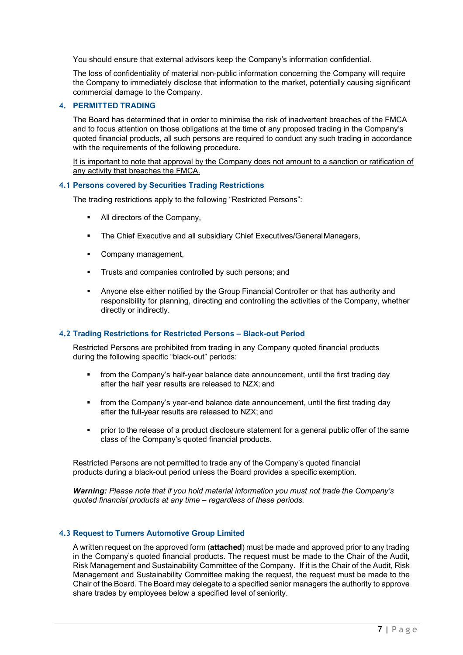You should ensure that external advisors keep the Company's information confidential.

The loss of confidentiality of material non-public information concerning the Company will require the Company to immediately disclose that information to the market, potentially causing significant commercial damage to the Company.

# **4. PERMITTED TRADING**

The Board has determined that in order to minimise the risk of inadvertent breaches of the FMCA and to focus attention on those obligations at the time of any proposed trading in the Company's quoted financial products, all such persons are required to conduct any such trading in accordance with the requirements of the following procedure.

It is important to note that approval by the Company does not amount to a sanction or ratification of any activity that breaches the FMCA.

#### **4.1 Persons covered by Securities Trading Restrictions**

The trading restrictions apply to the following "Restricted Persons":

- All directors of the Company,
- The Chief Executive and all subsidiary Chief Executives/GeneralManagers,
- Company management.
- § Trusts and companies controlled by such persons; and
- § Anyone else either notified by the Group Financial Controller or that has authority and responsibility for planning, directing and controlling the activities of the Company, whether directly or indirectly.

# **4.2 Trading Restrictions for Restricted Persons – Black-out Period**

Restricted Persons are prohibited from trading in any Company quoted financial products during the following specific "black-out" periods:

- from the Company's half-year balance date announcement, until the first trading day after the half year results are released to NZX; and
- § from the Company's year-end balance date announcement, until the first trading day after the full-year results are released to NZX; and
- § prior to the release of a product disclosure statement for a general public offer of the same class of the Company's quoted financial products.

Restricted Persons are not permitted to trade any of the Company's quoted financial products during a black-out period unless the Board provides a specific exemption.

*Warning: Please note that if you hold material information you must not trade the Company's quoted financial products at any time – regardless of these periods.*

#### **4.3 Request to Turners Automotive Group Limited**

A written request on the approved form (**attached**) must be made and approved prior to any trading in the Company's quoted financial products. The request must be made to the Chair of the Audit, Risk Management and Sustainability Committee of the Company. If it is the Chair of the Audit, Risk Management and Sustainability Committee making the request, the request must be made to the Chair of the Board. The Board may delegate to a specified senior managers the authority to approve share trades by employees below a specified level of seniority.